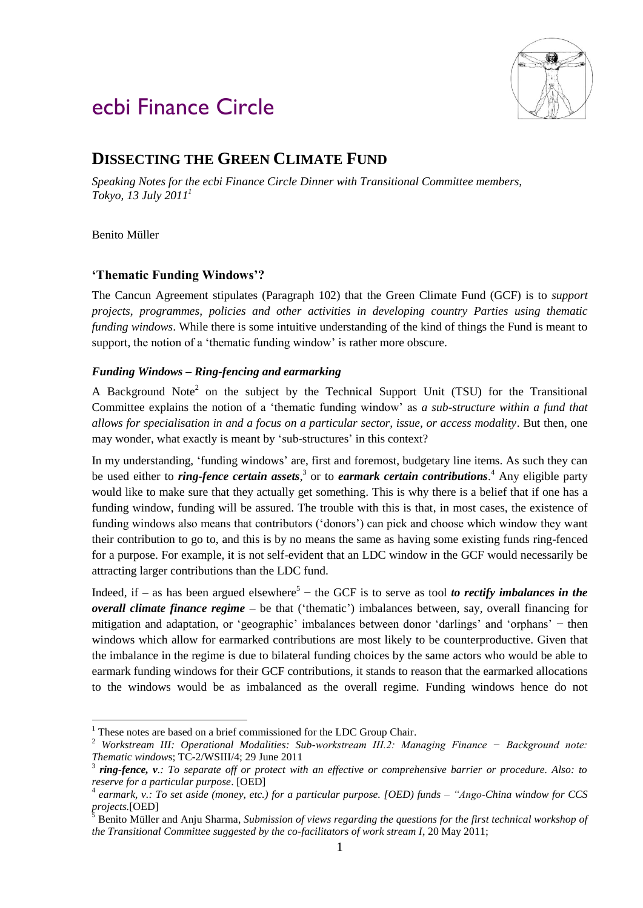

# ecbi Finance Circle

# **DISSECTING THE GREEN CLIMATE FUND**

*Speaking Notes for the ecbi Finance Circle Dinner with Transitional Committee members, Tokyo, 13 July 2011<sup>1</sup>*

Benito Müller

1

# **'Thematic Funding Windows'?**

The Cancun Agreement stipulates (Paragraph 102) that the Green Climate Fund (GCF) is to *support projects, programmes, policies and other activities in developing country Parties using thematic funding windows*. While there is some intuitive understanding of the kind of things the Fund is meant to support, the notion of a 'thematic funding window' is rather more obscure.

# *Funding Windows – Ring-fencing and earmarking*

A Background Note<sup>2</sup> on the subject by the Technical Support Unit (TSU) for the Transitional Committee explains the notion of a 'thematic funding window' as *a sub-structure within a fund that allows for specialisation in and a focus on a particular sector, issue, or access modality*. But then, one may wonder, what exactly is meant by 'sub-structures' in this context?

In my understanding, 'funding windows' are, first and foremost, budgetary line items. As such they can be used either to *ring-fence certain assets*, 3 or to *earmark certain contributions*. <sup>4</sup> Any eligible party would like to make sure that they actually get something. This is why there is a belief that if one has a funding window, funding will be assured. The trouble with this is that, in most cases, the existence of funding windows also means that contributors ('donors') can pick and choose which window they want their contribution to go to, and this is by no means the same as having some existing funds ring-fenced for a purpose. For example, it is not self-evident that an LDC window in the GCF would necessarily be attracting larger contributions than the LDC fund.

Indeed, if  $-$  as has been argued elsewhere<sup>5</sup>  $-$  the GCF is to serve as tool *to rectify imbalances in the overall climate finance regime* – be that ('thematic') imbalances between, say, overall financing for mitigation and adaptation, or 'geographic' imbalances between donor 'darlings' and 'orphans' − then windows which allow for earmarked contributions are most likely to be counterproductive. Given that the imbalance in the regime is due to bilateral funding choices by the same actors who would be able to earmark funding windows for their GCF contributions, it stands to reason that the earmarked allocations to the windows would be as imbalanced as the overall regime. Funding windows hence do not

<sup>&</sup>lt;sup>1</sup> These notes are based on a brief commissioned for the LDC Group Chair.

<sup>2</sup> *Workstream III: Operational Modalities: Sub-workstream III.2: Managing Finance − Background note: Thematic windows*;  $TC-2/WSHI/4$ ;  $29$  June  $2011$ <br> $\frac{3}{7}$  ring fance,  $y \cdot T_2$  conguerts of an unstast with

*ring-fence, v.: To separate off or protect with an effective or comprehensive barrier or procedure. Also: to reserve for a particular purpose*. [OED]

<sup>4</sup> *earmark, v.: To set aside (money, etc.) for a particular purpose. [OED) funds – "Ango-China window for CCS projects.*[OED]

<sup>5</sup> Benito Müller and Anju Sharma, *Submission of views regarding the questions for the first technical workshop of the Transitional Committee suggested by the co-facilitators of work stream I*, 20 May 2011;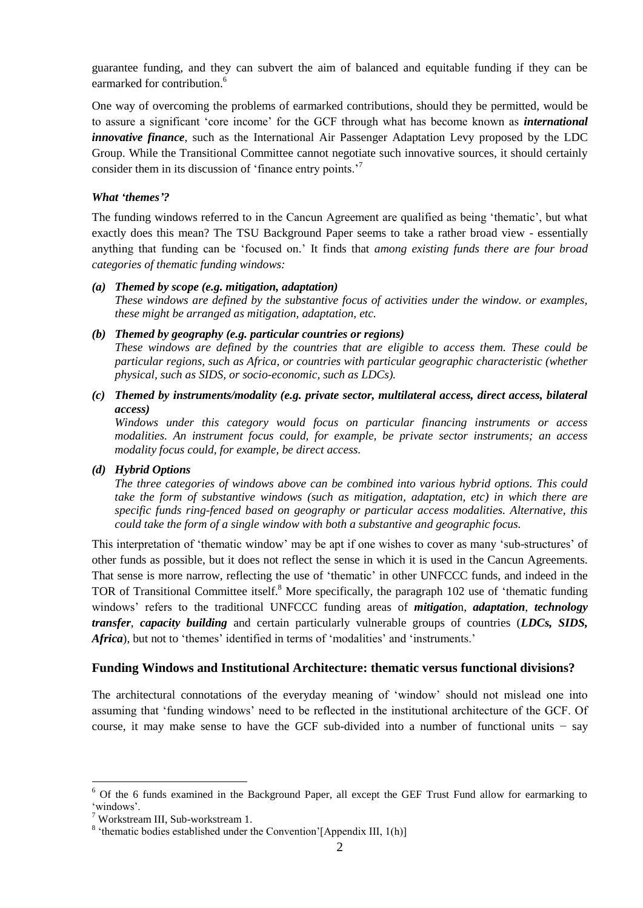guarantee funding, and they can subvert the aim of balanced and equitable funding if they can be earmarked for contribution.<sup>6</sup>

One way of overcoming the problems of earmarked contributions, should they be permitted, would be to assure a significant 'core income' for the GCF through what has become known as *international innovative finance*, such as the International Air Passenger Adaptation Levy proposed by the LDC Group. While the Transitional Committee cannot negotiate such innovative sources, it should certainly consider them in its discussion of 'finance entry points.'<sup>7</sup>

#### *What 'themes'?*

The funding windows referred to in the Cancun Agreement are qualified as being 'thematic', but what exactly does this mean? The TSU Background Paper seems to take a rather broad view - essentially anything that funding can be 'focused on.' It finds that *among existing funds there are four broad categories of thematic funding windows:*

#### *(a) Themed by scope (e.g. mitigation, adaptation)*

*These windows are defined by the substantive focus of activities under the window. or examples, these might be arranged as mitigation, adaptation, etc.*

#### *(b) Themed by geography (e.g. particular countries or regions)*

*These windows are defined by the countries that are eligible to access them. These could be particular regions, such as Africa, or countries with particular geographic characteristic (whether physical, such as SIDS, or socio-economic, such as LDCs).*

### *(c) Themed by instruments/modality (e.g. private sector, multilateral access, direct access, bilateral access)*

*Windows under this category would focus on particular financing instruments or access modalities. An instrument focus could, for example, be private sector instruments; an access modality focus could, for example, be direct access.*

#### *(d) Hybrid Options*

*The three categories of windows above can be combined into various hybrid options. This could take the form of substantive windows (such as mitigation, adaptation, etc) in which there are specific funds ring-fenced based on geography or particular access modalities. Alternative, this could take the form of a single window with both a substantive and geographic focus.*

This interpretation of 'thematic window' may be apt if one wishes to cover as many 'sub-structures' of other funds as possible, but it does not reflect the sense in which it is used in the Cancun Agreements. That sense is more narrow, reflecting the use of 'thematic' in other UNFCCC funds, and indeed in the TOR of Transitional Committee itself.<sup>8</sup> More specifically, the paragraph 102 use of 'thematic funding windows' refers to the traditional UNFCCC funding areas of *mitigatio*n, *adaptation*, *technology transfer*, *capacity building* and certain particularly vulnerable groups of countries (*LDCs, SIDS, Africa*), but not to 'themes' identified in terms of 'modalities' and 'instruments.'

#### **Funding Windows and Institutional Architecture: thematic versus functional divisions?**

The architectural connotations of the everyday meaning of 'window' should not mislead one into assuming that 'funding windows' need to be reflected in the institutional architecture of the GCF. Of course, it may make sense to have the GCF sub-divided into a number of functional units − say

1

<sup>6</sup> Of the 6 funds examined in the Background Paper, all except the GEF Trust Fund allow for earmarking to 'windows'.

 $7$  Workstream III, Sub-workstream 1.

 $8$  'thematic bodies established under the Convention' [Appendix III, 1(h)]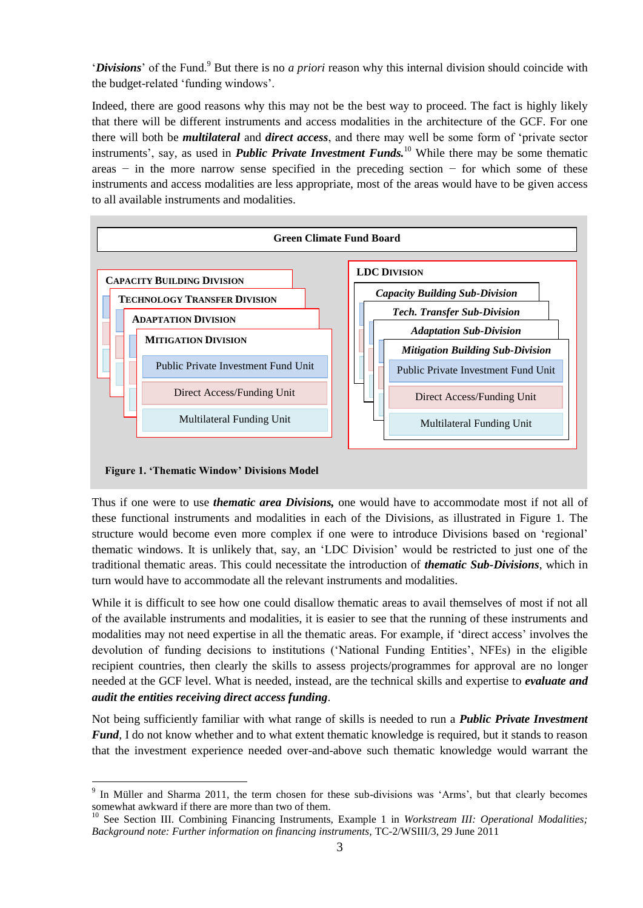'*Divisions*' of the Fund.<sup>9</sup> But there is no *a priori* reason why this internal division should coincide with the budget-related 'funding windows'.

Indeed, there are good reasons why this may not be the best way to proceed. The fact is highly likely that there will be different instruments and access modalities in the architecture of the GCF. For one there will both be *multilateral* and *direct access*, and there may well be some form of 'private sector instruments', say, as used in *Public Private Investment Funds.*<sup>10</sup> While there may be some thematic areas − in the more narrow sense specified in the preceding section − for which some of these instruments and access modalities are less appropriate, most of the areas would have to be given access to all available instruments and modalities.



#### **Figure 1. 'Thematic Window' Divisions Model**

1

Thus if one were to use *thematic area Divisions,* one would have to accommodate most if not all of these functional instruments and modalities in each of the Divisions, as illustrated in Figure 1. The structure would become even more complex if one were to introduce Divisions based on 'regional' thematic windows. It is unlikely that, say, an 'LDC Division' would be restricted to just one of the traditional thematic areas. This could necessitate the introduction of *thematic Sub-Divisions*, which in turn would have to accommodate all the relevant instruments and modalities.

While it is difficult to see how one could disallow thematic areas to avail themselves of most if not all of the available instruments and modalities, it is easier to see that the running of these instruments and modalities may not need expertise in all the thematic areas. For example, if 'direct access' involves the devolution of funding decisions to institutions ('National Funding Entities', NFEs) in the eligible recipient countries, then clearly the skills to assess projects/programmes for approval are no longer needed at the GCF level. What is needed, instead, are the technical skills and expertise to *evaluate and audit the entities receiving direct access funding*.

Not being sufficiently familiar with what range of skills is needed to run a *Public Private Investment Fund*, I do not know whether and to what extent thematic knowledge is required, but it stands to reason that the investment experience needed over-and-above such thematic knowledge would warrant the

 $9$  In Müller and Sharma 2011, the term chosen for these sub-divisions was 'Arms', but that clearly becomes somewhat awkward if there are more than two of them.

<sup>&</sup>lt;sup>10</sup> See Section III. Combining Financing Instruments, Example 1 in *Workstream III: Operational Modalities; Background note: Further information on financing instruments,* TC-2/WSIII/3, 29 June 2011